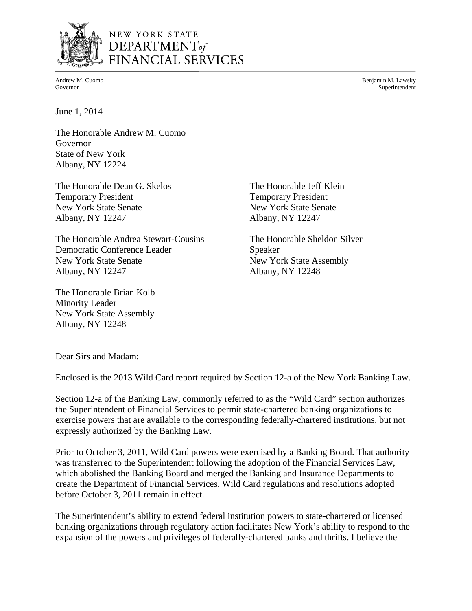

## NEW YORK STATE DEPARTMENT<sub>of</sub> FINANCIAL SERVICES

Andrew M. Cuomo Benjamin M. Lawsky Governor Superintendent

June 1, 2014

The Honorable Andrew M. Cuomo Governor State of New York Albany, NY 12224

The Honorable Dean G. Skelos The Honorable Jeff Klein Temporary President Temporary President New York State Senate New York State Senate Albany, NY 12247 Albany, NY 12247

The Honorable Andrea Stewart-Cousins The Honorable Sheldon Silver Democratic Conference Leader Speaker New York State Senate New York State Assembly Albany, NY 12247 Albany, NY 12248

The Honorable Brian Kolb Minority Leader New York State Assembly Albany, NY 12248

Dear Sirs and Madam:

Enclosed is the 2013 Wild Card report required by Section 12-a of the New York Banking Law.

Section 12-a of the Banking Law, commonly referred to as the "Wild Card" section authorizes the Superintendent of Financial Services to permit state-chartered banking organizations to exercise powers that are available to the corresponding federally-chartered institutions, but not expressly authorized by the Banking Law.

Prior to October 3, 2011, Wild Card powers were exercised by a Banking Board. That authority was transferred to the Superintendent following the adoption of the Financial Services Law, which abolished the Banking Board and merged the Banking and Insurance Departments to create the Department of Financial Services. Wild Card regulations and resolutions adopted before October 3, 2011 remain in effect.

The Superintendent's ability to extend federal institution powers to state-chartered or licensed banking organizations through regulatory action facilitates New York's ability to respond to the expansion of the powers and privileges of federally-chartered banks and thrifts. I believe the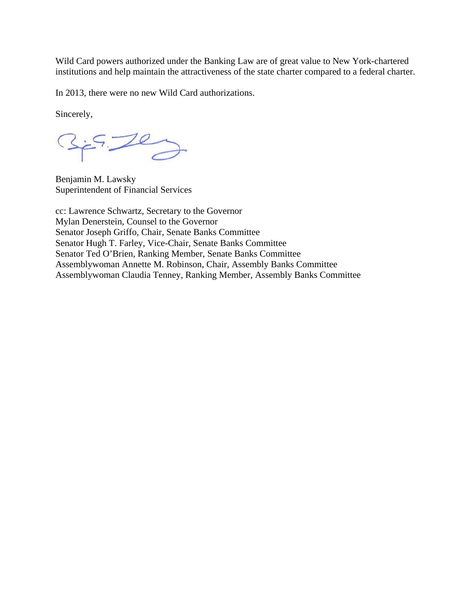Wild Card powers authorized under the Banking Law are of great value to New York-chartered institutions and help maintain the attractiveness of the state charter compared to a federal charter.

In 2013, there were no new Wild Card authorizations.

Sincerely,

Benjamin M. Lawsky Superintendent of Financial Services

 cc: Lawrence Schwartz, Secretary to the Governor Mylan Denerstein, Counsel to the Governor Senator Joseph Griffo, Chair, Senate Banks Committee Senator Hugh T. Farley, Vice-Chair, Senate Banks Committee Senator Ted O'Brien, Ranking Member, Senate Banks Committee Assemblywoman Annette M. Robinson, Chair, Assembly Banks Committee Assemblywoman Claudia Tenney, Ranking Member, Assembly Banks Committee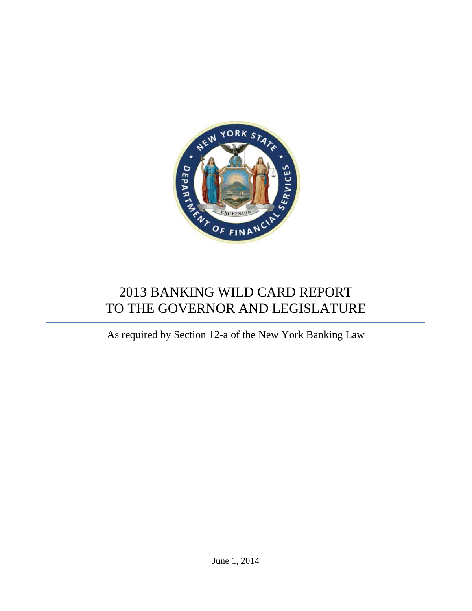

# 2013 BANKING WILD CARD REPORT TO THE GOVERNOR AND LEGISLATURE

As required by Section 12-a of the New York Banking Law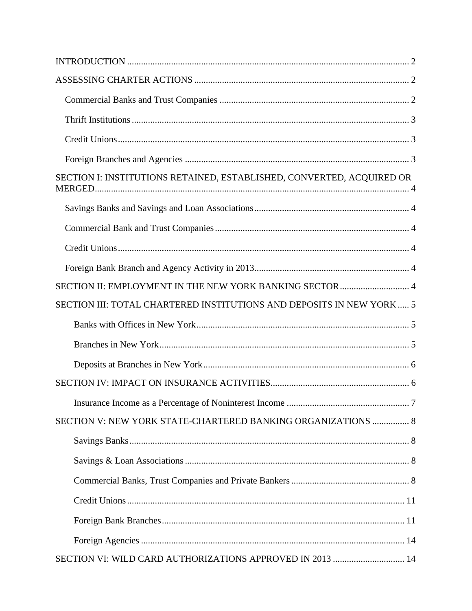| SECTION I: INSTITUTIONS RETAINED, ESTABLISHED, CONVERTED, ACQUIRED OR |  |
|-----------------------------------------------------------------------|--|
|                                                                       |  |
|                                                                       |  |
|                                                                       |  |
|                                                                       |  |
| SECTION II: EMPLOYMENT IN THE NEW YORK BANKING SECTOR  4              |  |
| SECTION III: TOTAL CHARTERED INSTITUTIONS AND DEPOSITS IN NEW YORK  5 |  |
|                                                                       |  |
|                                                                       |  |
|                                                                       |  |
|                                                                       |  |
|                                                                       |  |
| SECTION V: NEW YORK STATE-CHARTERED BANKING ORGANIZATIONS  8          |  |
|                                                                       |  |
|                                                                       |  |
|                                                                       |  |
|                                                                       |  |
|                                                                       |  |
|                                                                       |  |
| SECTION VI: WILD CARD AUTHORIZATIONS APPROVED IN 2013  14             |  |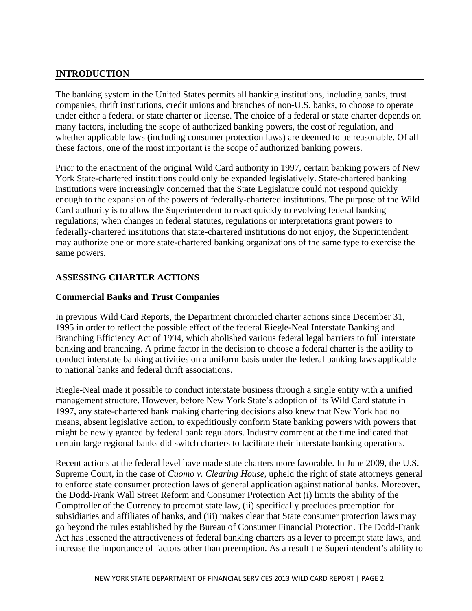## <span id="page-4-0"></span>**INTRODUCTION**

The banking system in the United States permits all banking institutions, including banks, trust companies, thrift institutions, credit unions and branches of non-U.S. banks, to choose to operate under either a federal or state charter or license. The choice of a federal or state charter depends on many factors, including the scope of authorized banking powers, the cost of regulation, and whether applicable laws (including consumer protection laws) are deemed to be reasonable. Of all these factors, one of the most important is the scope of authorized banking powers.

Prior to the enactment of the original Wild Card authority in 1997, certain banking powers of New York State-chartered institutions could only be expanded legislatively. State-chartered banking institutions were increasingly concerned that the State Legislature could not respond quickly enough to the expansion of the powers of federally-chartered institutions. The purpose of the Wild Card authority is to allow the Superintendent to react quickly to evolving federal banking regulations; when changes in federal statutes, regulations or interpretations grant powers to federally-chartered institutions that state-chartered institutions do not enjoy, the Superintendent may authorize one or more state-chartered banking organizations of the same type to exercise the same powers.

## **ASSESSING CHARTER ACTIONS**

## **Commercial Banks and Trust Companies**

In previous Wild Card Reports, the Department chronicled charter actions since December 31, 1995 in order to reflect the possible effect of the federal Riegle-Neal Interstate Banking and Branching Efficiency Act of 1994, which abolished various federal legal barriers to full interstate banking and branching. A prime factor in the decision to choose a federal charter is the ability to conduct interstate banking activities on a uniform basis under the federal banking laws applicable to national banks and federal thrift associations.

Riegle-Neal made it possible to conduct interstate business through a single entity with a unified management structure. However, before New York State's adoption of its Wild Card statute in 1997, any state-chartered bank making chartering decisions also knew that New York had no means, absent legislative action, to expeditiously conform State banking powers with powers that might be newly granted by federal bank regulators. Industry comment at the time indicated that certain large regional banks did switch charters to facilitate their interstate banking operations.

Recent actions at the federal level have made state charters more favorable. In June 2009, the U.S. Supreme Court, in the case of *Cuomo v. Clearing House*, upheld the right of state attorneys general to enforce state consumer protection laws of general application against national banks. Moreover, the Dodd-Frank Wall Street Reform and Consumer Protection Act (i) limits the ability of the Comptroller of the Currency to preempt state law, (ii) specifically precludes preemption for subsidiaries and affiliates of banks, and (iii) makes clear that State consumer protection laws may go beyond the rules established by the Bureau of Consumer Financial Protection. The Dodd-Frank Act has lessened the attractiveness of federal banking charters as a lever to preempt state laws, and increase the importance of factors other than preemption. As a result the Superintendent's ability to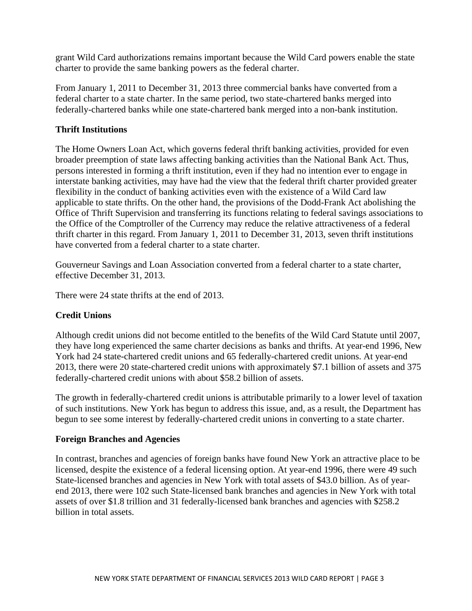<span id="page-5-0"></span>grant Wild Card authorizations remains important because the Wild Card powers enable the state charter to provide the same banking powers as the federal charter.

From January 1, 2011 to December 31, 2013 three commercial banks have converted from a federal charter to a state charter. In the same period, two state-chartered banks merged into federally-chartered banks while one state-chartered bank merged into a non-bank institution.

## **Thrift Institutions**

The Home Owners Loan Act, which governs federal thrift banking activities, provided for even broader preemption of state laws affecting banking activities than the National Bank Act. Thus, persons interested in forming a thrift institution, even if they had no intention ever to engage in interstate banking activities, may have had the view that the federal thrift charter provided greater flexibility in the conduct of banking activities even with the existence of a Wild Card law applicable to state thrifts. On the other hand, the provisions of the Dodd-Frank Act abolishing the Office of Thrift Supervision and transferring its functions relating to federal savings associations to the Office of the Comptroller of the Currency may reduce the relative attractiveness of a federal thrift charter in this regard. From January 1, 2011 to December 31, 2013, seven thrift institutions have converted from a federal charter to a state charter.

Gouverneur Savings and Loan Association converted from a federal charter to a state charter, effective December 31, 2013.

There were 24 state thrifts at the end of 2013.

## **Credit Unions**

Although credit unions did not become entitled to the benefits of the Wild Card Statute until 2007, they have long experienced the same charter decisions as banks and thrifts. At year-end 1996, New York had 24 state-chartered credit unions and 65 federally-chartered credit unions. At year-end 2013, there were 20 state-chartered credit unions with approximately \$7.1 billion of assets and 375 federally-chartered credit unions with about \$58.2 billion of assets.

The growth in federally-chartered credit unions is attributable primarily to a lower level of taxation of such institutions. New York has begun to address this issue, and, as a result, the Department has begun to see some interest by federally-chartered credit unions in converting to a state charter.

## **Foreign Branches and Agencies**

In contrast, branches and agencies of foreign banks have found New York an attractive place to be licensed, despite the existence of a federal licensing option. At year-end 1996, there were 49 such State-licensed branches and agencies in New York with total assets of \$43.0 billion. As of yearend 2013, there were 102 such State-licensed bank branches and agencies in New York with total assets of over \$1.8 trillion and 31 federally-licensed bank branches and agencies with \$258.2 billion in total assets.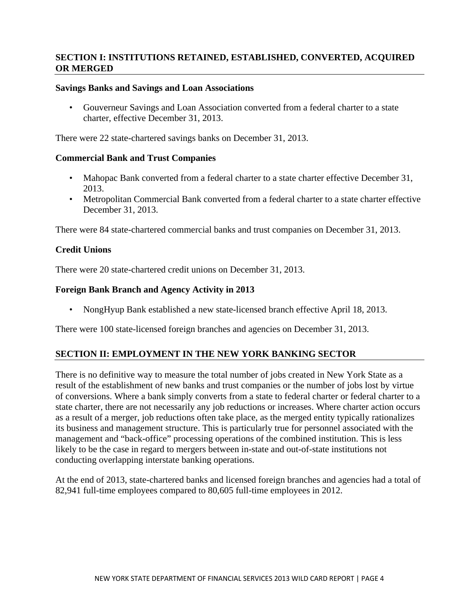## **SECTION I: INSTITUTIONS RETAINED, ESTABLISHED, CONVERTED, ACQUIRED OR MERGED**

## **Savings Banks and Savings and Loan Associations**

• Gouverneur Savings and Loan Association converted from a federal charter to a state charter, effective December 31, 2013.

There were 22 state-chartered savings banks on December 31, 2013.

#### **Commercial Bank and Trust Companies**

- Mahopac Bank converted from a federal charter to a state charter effective December 31, 2013.
- Metropolitan Commercial Bank converted from a federal charter to a state charter effective December 31, 2013.

There were 84 state-chartered commercial banks and trust companies on December 31, 2013.

## **Credit Unions**

There were 20 state-chartered credit unions on December 31, 2013.

#### **Foreign Bank Branch and Agency Activity in 2013**

• NongHyup Bank established a new state-licensed branch effective April 18, 2013.

There were 100 state-licensed foreign branches and agencies on December 31, 2013.

## **SECTION II: EMPLOYMENT IN THE NEW YORK BANKING SECTOR**

There is no definitive way to measure the total number of jobs created in New York State as a result of the establishment of new banks and trust companies or the number of jobs lost by virtue of conversions. Where a bank simply converts from a state to federal charter or federal charter to a state charter, there are not necessarily any job reductions or increases. Where charter action occurs as a result of a merger, job reductions often take place, as the merged entity typically rationalizes its business and management structure. This is particularly true for personnel associated with the management and "back-office" processing operations of the combined institution. This is less likely to be the case in regard to mergers between in-state and out-of-state institutions not conducting overlapping interstate banking operations.

At the end of 2013, state-chartered banks and licensed foreign branches and agencies had a total of 82,941 full-time employees compared to 80,605 full-time employees in 2012.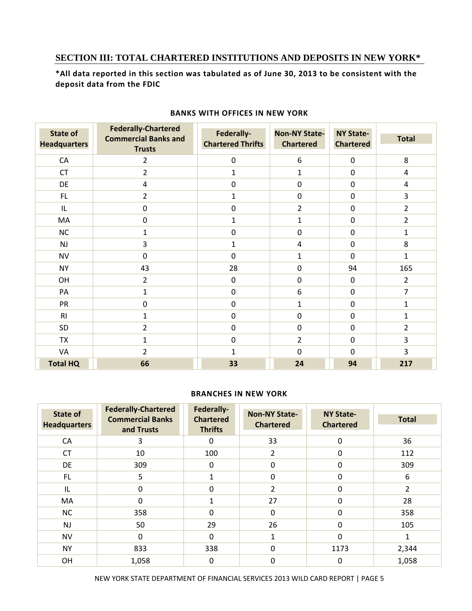## **SECTION III: TOTAL CHARTERED INSTITUTIONS AND DEPOSITS IN NEW YORK\***

\*All data reported in this section was tabulated as of June 30, 2013 to be consistent with the  **deposit data from the FDIC**

| State of<br><b>Headquarters</b> | <b>Federally-Chartered</b><br><b>Commercial Banks and</b><br><b>Trusts</b> | Federally-<br><b>Chartered Thrifts</b> | <b>Non-NY State-</b><br><b>Chartered</b> | <b>NY State-</b><br><b>Chartered</b> | <b>Total</b>   |
|---------------------------------|----------------------------------------------------------------------------|----------------------------------------|------------------------------------------|--------------------------------------|----------------|
| CA                              | $\overline{2}$                                                             | $\pmb{0}$                              | 6                                        | $\mathbf 0$                          | 8              |
| <b>CT</b>                       | $\overline{2}$                                                             | $\mathbf{1}$                           | 1                                        | $\mathbf 0$                          | 4              |
| DE                              | $\overline{\mathbf{4}}$                                                    | $\mathbf 0$                            | $\mathbf 0$                              | $\mathbf 0$                          | 4              |
| FL                              | $\overline{2}$                                                             | 1                                      | $\mathbf 0$                              | $\mathbf 0$                          | 3              |
| IL                              | $\boldsymbol{0}$                                                           | $\boldsymbol{0}$                       | $\overline{2}$                           | $\mathbf 0$                          | $\overline{2}$ |
| MA                              | $\boldsymbol{0}$                                                           | 1                                      | $\mathbf{1}$                             | 0                                    | $\overline{2}$ |
| <b>NC</b>                       | $\mathbf{1}$                                                               | $\mathbf 0$                            | $\mathbf 0$                              | $\mathbf 0$                          | 1              |
| NJ                              | 3                                                                          | $\mathbf{1}$                           | $\overline{\mathbf{4}}$                  | $\mathbf 0$                          | 8              |
| <b>NV</b>                       | $\mathbf 0$                                                                | 0                                      | $\mathbf 1$                              | $\Omega$                             | $\mathbf{1}$   |
| <b>NY</b>                       | 43                                                                         | 28                                     | $\mathbf 0$                              | 94                                   | 165            |
| OH                              | $\overline{2}$                                                             | $\boldsymbol{0}$                       | $\pmb{0}$                                | $\boldsymbol{0}$                     | $\overline{2}$ |
| PA                              | $\mathbf{1}$                                                               | $\mathbf 0$                            | 6                                        | $\mathbf 0$                          | $\overline{7}$ |
| PR                              | $\mathbf 0$                                                                | $\mathbf 0$                            | $\mathbf 1$                              | $\mathbf 0$                          | $\mathbf{1}$   |
| RI                              | $\mathbf{1}$                                                               | $\mathbf 0$                            | $\mathbf 0$                              | $\mathbf 0$                          | 1              |
| SD                              | $\overline{2}$                                                             | $\mathbf 0$                            | $\mathbf 0$                              | $\mathbf 0$                          | $\overline{2}$ |
| <b>TX</b>                       | $\mathbf{1}$                                                               | $\mathbf 0$                            | $\overline{2}$                           | $\mathbf 0$                          | 3              |
| VA                              | $\overline{2}$                                                             | 1                                      | $\mathbf 0$                              | 0                                    | 3              |
| <b>Total HQ</b>                 | 66                                                                         | 33                                     | 24                                       | 94                                   | 217            |

#### **BANKS WITH OFFICES IN NEW YORK**

#### **BRANCHES IN NEW YORK**

| State of<br><b>Headquarters</b> | <b>Federally-Chartered</b><br><b>Commercial Banks</b><br>and Trusts | Federally-<br><b>Chartered</b><br><b>Thrifts</b> | <b>Non-NY State-</b><br><b>Chartered</b> | <b>NY State-</b><br><b>Chartered</b> | <b>Total</b>   |
|---------------------------------|---------------------------------------------------------------------|--------------------------------------------------|------------------------------------------|--------------------------------------|----------------|
| CA                              | 3                                                                   | 0                                                | 33                                       | $\Omega$                             | 36             |
| <b>CT</b>                       | 10                                                                  | 100                                              | 2                                        | $\mathbf 0$                          | 112            |
| DE                              | 309                                                                 | 0                                                | $\Omega$                                 | 0                                    | 309            |
| FL.                             | 5                                                                   |                                                  | 0                                        | 0                                    | 6              |
| IL                              | 0                                                                   | 0                                                | $\overline{2}$                           | 0                                    | $\overline{2}$ |
| MA                              | $\Omega$                                                            | $\mathbf{1}$                                     | 27                                       | $\Omega$                             | 28             |
| <b>NC</b>                       | 358                                                                 | 0                                                | $\Omega$                                 | $\Omega$                             | 358            |
| <b>NJ</b>                       | 50                                                                  | 29                                               | 26                                       | $\Omega$                             | 105            |
| <b>NV</b>                       | $\Omega$                                                            | 0                                                | 1                                        | $\Omega$                             | 1              |
| <b>NY</b>                       | 833                                                                 | 338                                              | $\mathbf{0}$                             | 1173                                 | 2,344          |
| <b>OH</b>                       | 1,058                                                               | 0                                                | 0                                        | 0                                    | 1,058          |

NEW YORK STATE DEPARTMENT OF FINANCIAL SERVICES 2013 WILD CARD REPORT | PAGE 5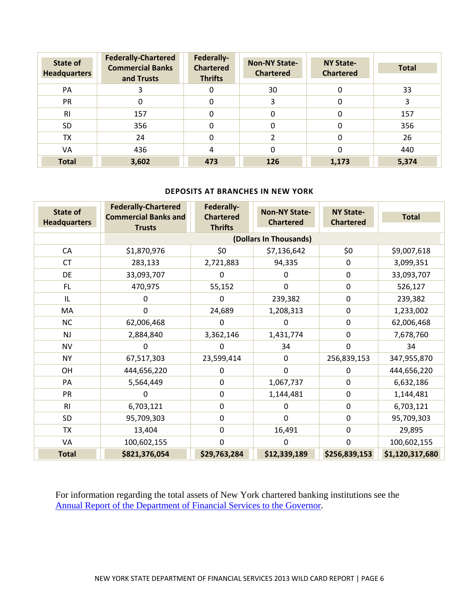| State of<br><b>Headquarters</b> | <b>Federally-Chartered</b><br><b>Commercial Banks</b><br>and Trusts | Federally-<br><b>Chartered</b><br><b>Thrifts</b> | <b>Non-NY State-</b><br><b>Chartered</b> | <b>NY State-</b><br><b>Chartered</b> | <b>Total</b> |
|---------------------------------|---------------------------------------------------------------------|--------------------------------------------------|------------------------------------------|--------------------------------------|--------------|
| PA                              |                                                                     | 0                                                | 30                                       | 0                                    | 33           |
| PR                              |                                                                     | 0                                                | 3                                        | 0                                    | 3            |
| R <sub>l</sub>                  | 157                                                                 | 0                                                | $\Omega$                                 | 0                                    | 157          |
| <b>SD</b>                       | 356                                                                 | 0                                                | $\Omega$                                 | 0                                    | 356          |
| TX                              | 24                                                                  | 0                                                |                                          | 0                                    | 26           |
| VA                              | 436                                                                 | 4                                                | $\Omega$                                 | 0                                    | 440          |
| <b>Total</b>                    | 3,602                                                               | 473                                              | 126                                      | 1,173                                | 5,374        |

#### **DEPOSITS AT BRANCHES IN NEW YORK**

| <b>State of</b><br><b>Headquarters</b> | <b>Federally-Chartered</b><br><b>Commercial Banks and</b><br><b>Trusts</b> | Federally-<br><b>Chartered</b><br><b>Thrifts</b> | <b>Non-NY State-</b><br><b>Chartered</b> | <b>NY State-</b><br><b>Chartered</b> | <b>Total</b>    |
|----------------------------------------|----------------------------------------------------------------------------|--------------------------------------------------|------------------------------------------|--------------------------------------|-----------------|
|                                        |                                                                            |                                                  | (Dollars In Thousands)                   |                                      |                 |
| CA                                     | \$1,870,976                                                                | \$0                                              | \$7,136,642                              | \$0                                  | \$9,007,618     |
| <b>CT</b>                              | 283,133                                                                    | 2,721,883                                        | 94,335                                   | 0                                    | 3,099,351       |
| <b>DE</b>                              | 33,093,707                                                                 | 0                                                | 0                                        | 0                                    | 33,093,707      |
| FL.                                    | 470,975                                                                    | 55,152                                           | $\mathbf 0$                              | 0                                    | 526,127         |
| IL                                     | 0                                                                          | 0                                                | 239,382                                  | 0                                    | 239,382         |
| MA                                     | 0                                                                          | 24,689                                           | 1,208,313                                | 0                                    | 1,233,002       |
| <b>NC</b>                              | 62,006,468                                                                 | 0                                                | 0                                        | 0                                    | 62,006,468      |
| <b>NJ</b>                              | 2,884,840                                                                  | 3,362,146                                        | 1,431,774                                | 0                                    | 7,678,760       |
| <b>NV</b>                              | 0                                                                          | 0                                                | 34                                       | 0                                    | 34              |
| <b>NY</b>                              | 67,517,303                                                                 | 23,599,414                                       | 0                                        | 256,839,153                          | 347,955,870     |
| OH                                     | 444,656,220                                                                | 0                                                | $\mathbf{0}$                             | 0                                    | 444,656,220     |
| PA                                     | 5,564,449                                                                  | $\boldsymbol{0}$                                 | 1,067,737                                | $\Omega$                             | 6,632,186       |
| <b>PR</b>                              | 0                                                                          | $\mathbf 0$                                      | 1,144,481                                | 0                                    | 1,144,481       |
| <b>RI</b>                              | 6,703,121                                                                  | 0                                                | 0                                        | 0                                    | 6,703,121       |
| SD                                     | 95,709,303                                                                 | 0                                                | $\mathbf 0$                              | 0                                    | 95,709,303      |
| TX                                     | 13,404                                                                     | 0                                                | 16,491                                   | 0                                    | 29,895          |
| VA                                     | 100,602,155                                                                | 0                                                | 0                                        | 0                                    | 100,602,155     |
| <b>Total</b>                           | \$821,376,054                                                              | \$29,763,284                                     | \$12,339,189                             | \$256,839,153                        | \$1,120,317,680 |

For information regarding the total assets of New York chartered banking institutions see the Annual Report of the Department of Financial Services to the Governor.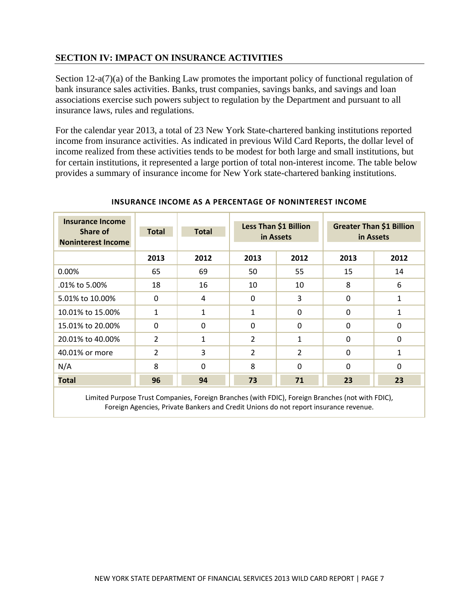## **SECTION IV: IMPACT ON INSURANCE ACTIVITIES**

Section 12-a(7)(a) of the Banking Law promotes the important policy of functional regulation of bank insurance sales activities. Banks, trust companies, savings banks, and savings and loan associations exercise such powers subject to regulation by the Department and pursuant to all insurance laws, rules and regulations.

For the calendar year 2013, a total of 23 New York State-chartered banking institutions reported income from insurance activities. As indicated in previous Wild Card Reports, the dollar level of income realized from these activities tends to be modest for both large and small institutions, but for certain institutions, it represented a large portion of total non-interest income. The table below provides a summary of insurance income for New York state-chartered banking institutions.

| <b>Insurance Income</b><br>Share of<br><b>Noninterest Income</b> | <b>Total</b>   | <b>Total</b> | Less Than \$1 Billion<br>in Assets |                |          | <b>Greater Than \$1 Billion</b><br>in Assets |
|------------------------------------------------------------------|----------------|--------------|------------------------------------|----------------|----------|----------------------------------------------|
|                                                                  | 2013           | 2012         | 2013                               | 2012           | 2013     | 2012                                         |
| 0.00%                                                            | 65             | 69           | 50                                 | 55             | 15       | 14                                           |
| .01% to 5.00%                                                    | 18             | 16           | 10                                 | 10             | 8        | 6                                            |
| 5.01% to 10.00%                                                  | $\Omega$       | 4            | $\Omega$                           | 3              | $\Omega$ | $\mathbf{1}$                                 |
| 10.01% to 15.00%                                                 | $\mathbf{1}$   | $\mathbf{1}$ | 1                                  | $\Omega$       | $\Omega$ | $\mathbf{1}$                                 |
| 15.01% to 20.00%                                                 | $\Omega$       | $\Omega$     | $\Omega$                           | $\Omega$       | $\Omega$ | $\Omega$                                     |
| 20.01% to 40.00%                                                 | 2              | 1            | 2                                  | 1              | $\Omega$ | $\Omega$                                     |
| 40.01% or more                                                   | $\overline{2}$ | 3            | 2                                  | $\overline{2}$ | $\Omega$ | 1                                            |
| N/A                                                              | 8              | $\Omega$     | 8                                  | $\Omega$       | $\Omega$ | $\Omega$                                     |
| <b>Total</b>                                                     | 96             | 94           | 73                                 | 71             | 23       | 23                                           |

## **INSURANCE INCOME AS A PERCENTAGE OF NONINTEREST INCOME**

 Limited Purpose Trust Companies, Foreign Branches (with FDIC), Foreign Branches (not with FDIC), Foreign Agencies, Private Bankers and Credit Unions do not report insurance revenue.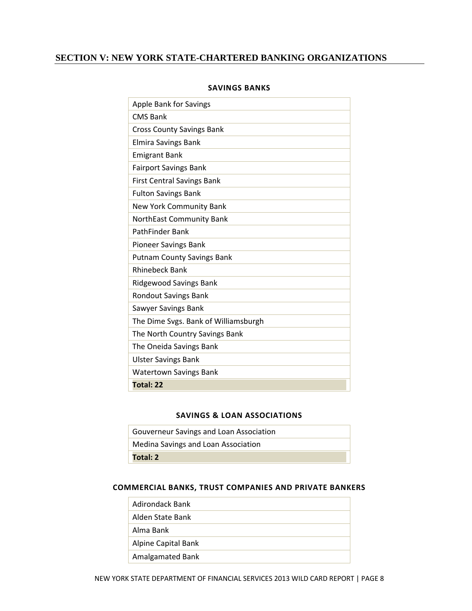## **SECTION V: NEW YORK STATE-CHARTERED BANKING ORGANIZATIONS**

| <b>Apple Bank for Savings</b>        |
|--------------------------------------|
| <b>CMS Bank</b>                      |
| <b>Cross County Savings Bank</b>     |
| <b>Elmira Savings Bank</b>           |
| <b>Emigrant Bank</b>                 |
| <b>Fairport Savings Bank</b>         |
| <b>First Central Savings Bank</b>    |
| <b>Fulton Savings Bank</b>           |
| New York Community Bank              |
| NorthEast Community Bank             |
| PathFinder Bank                      |
| <b>Pioneer Savings Bank</b>          |
| <b>Putnam County Savings Bank</b>    |
| <b>Rhinebeck Bank</b>                |
| <b>Ridgewood Savings Bank</b>        |
| <b>Rondout Savings Bank</b>          |
| Sawyer Savings Bank                  |
| The Dime Svgs. Bank of Williamsburgh |
| The North Country Savings Bank       |
| The Oneida Savings Bank              |
| <b>Ulster Savings Bank</b>           |
| <b>Watertown Savings Bank</b>        |
| Total: 22                            |

#### **SAVINGS BANKS**

#### **SAVINGS & LOAN ASSOCIATIONS**

| Gouverneur Savings and Loan Association |
|-----------------------------------------|
| Medina Savings and Loan Association     |
| Total: 2                                |

#### **COMMERCIAL BANKS, TRUST COMPANIES AND PRIVATE BANKERS**

| Adirondack Bank     |
|---------------------|
| Alden State Bank    |
| Alma Bank           |
| Alpine Capital Bank |
| Amalgamated Bank    |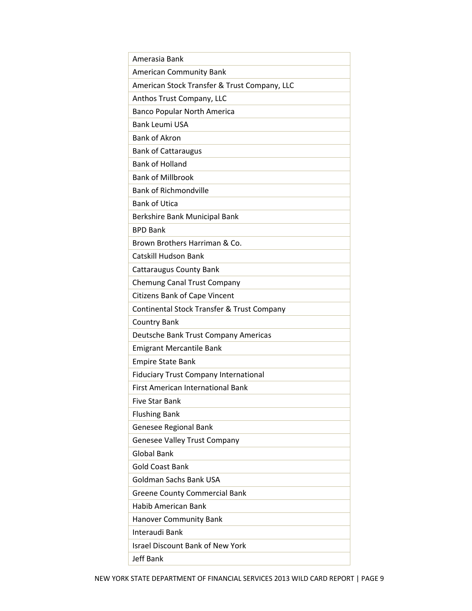| Amerasia Bank                                |
|----------------------------------------------|
| <b>American Community Bank</b>               |
| American Stock Transfer & Trust Company, LLC |
| Anthos Trust Company, LLC                    |
| <b>Banco Popular North America</b>           |
| <b>Bank Leumi USA</b>                        |
| <b>Bank of Akron</b>                         |
| <b>Bank of Cattaraugus</b>                   |
| <b>Bank of Holland</b>                       |
| <b>Bank of Millbrook</b>                     |
| <b>Bank of Richmondville</b>                 |
| <b>Bank of Utica</b>                         |
| Berkshire Bank Municipal Bank                |
| <b>BPD Bank</b>                              |
| Brown Brothers Harriman & Co.                |
| Catskill Hudson Bank                         |
| <b>Cattaraugus County Bank</b>               |
| <b>Chemung Canal Trust Company</b>           |
| <b>Citizens Bank of Cape Vincent</b>         |
| Continental Stock Transfer & Trust Company   |
| <b>Country Bank</b>                          |
| Deutsche Bank Trust Company Americas         |
| <b>Emigrant Mercantile Bank</b>              |
| <b>Empire State Bank</b>                     |
| <b>Fiduciary Trust Company International</b> |
| <b>First American International Bank</b>     |
| <b>Five Star Bank</b>                        |
| <b>Flushing Bank</b>                         |
| Genesee Regional Bank                        |
| <b>Genesee Valley Trust Company</b>          |
| <b>Global Bank</b>                           |
| <b>Gold Coast Bank</b>                       |
| <b>Goldman Sachs Bank USA</b>                |
| <b>Greene County Commercial Bank</b>         |
| <b>Habib American Bank</b>                   |
| <b>Hanover Community Bank</b>                |
| Interaudi Bank                               |
| <b>Israel Discount Bank of New York</b>      |
| Jeff Bank                                    |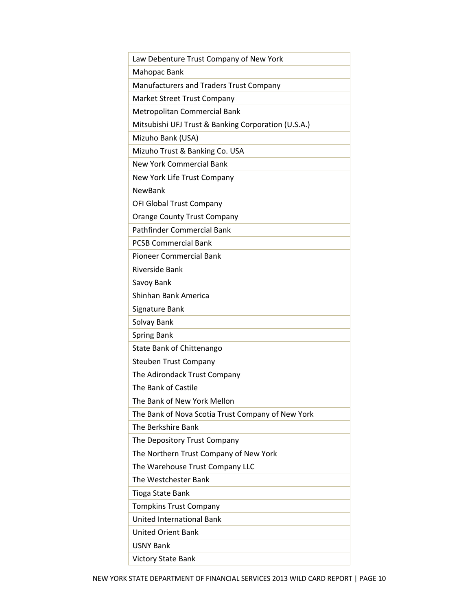| Law Debenture Trust Company of New York             |
|-----------------------------------------------------|
| Mahopac Bank                                        |
| Manufacturers and Traders Trust Company             |
| Market Street Trust Company                         |
| Metropolitan Commercial Bank                        |
| Mitsubishi UFJ Trust & Banking Corporation (U.S.A.) |
| Mizuho Bank (USA)                                   |
| Mizuho Trust & Banking Co. USA                      |
| New York Commercial Bank                            |
| New York Life Trust Company                         |
| <b>NewBank</b>                                      |
| OFI Global Trust Company                            |
| <b>Orange County Trust Company</b>                  |
| <b>Pathfinder Commercial Bank</b>                   |
| <b>PCSB Commercial Bank</b>                         |
| <b>Pioneer Commercial Bank</b>                      |
| Riverside Bank                                      |
| Savoy Bank                                          |
| Shinhan Bank America                                |
| Signature Bank                                      |
| Solvay Bank                                         |
| <b>Spring Bank</b>                                  |
| State Bank of Chittenango                           |
| <b>Steuben Trust Company</b>                        |
| The Adirondack Trust Company                        |
| The Bank of Castile                                 |
| The Bank of New York Mellon                         |
| The Bank of Nova Scotia Trust Company of New York   |
| The Berkshire Bank                                  |
| The Depository Trust Company                        |
| The Northern Trust Company of New York              |
| The Warehouse Trust Company LLC                     |
| The Westchester Bank                                |
| <b>Tioga State Bank</b>                             |
| <b>Tompkins Trust Company</b>                       |
| <b>United International Bank</b>                    |
| <b>United Orient Bank</b>                           |
| <b>USNY Bank</b>                                    |
| <b>Victory State Bank</b>                           |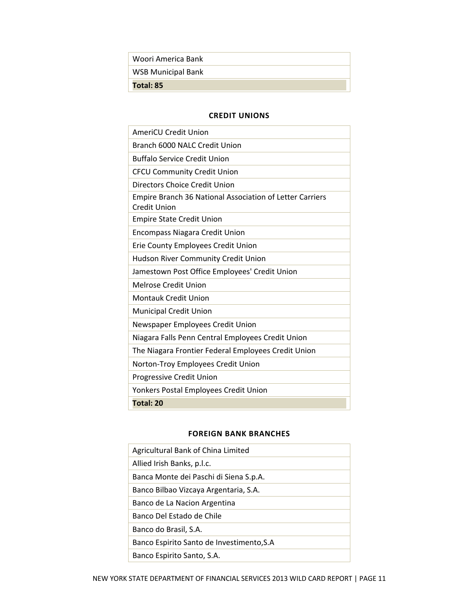| Woori America Bank        |
|---------------------------|
| <b>WSB Municipal Bank</b> |
| Total: 85                 |

#### **CREDIT UNIONS**

| <b>AmeriCU Credit Union</b>                                                     |
|---------------------------------------------------------------------------------|
| Branch 6000 NALC Credit Union                                                   |
| <b>Buffalo Service Credit Union</b>                                             |
| <b>CFCU Community Credit Union</b>                                              |
| Directors Choice Credit Union                                                   |
| Empire Branch 36 National Association of Letter Carriers<br><b>Credit Union</b> |
| <b>Empire State Credit Union</b>                                                |
| <b>Encompass Niagara Credit Union</b>                                           |
| Erie County Employees Credit Union                                              |
| Hudson River Community Credit Union                                             |
| Jamestown Post Office Employees' Credit Union                                   |
| Melrose Credit Union                                                            |
| <b>Montauk Credit Union</b>                                                     |
| <b>Municipal Credit Union</b>                                                   |
| Newspaper Employees Credit Union                                                |
| Niagara Falls Penn Central Employees Credit Union                               |
| The Niagara Frontier Federal Employees Credit Union                             |
| Norton-Troy Employees Credit Union                                              |
| Progressive Credit Union                                                        |
| Yonkers Postal Employees Credit Union                                           |
| <b>Total: 20</b>                                                                |

## **FOREIGN BANK BRANCHES**

| Agricultural Bank of China Limited        |
|-------------------------------------------|
| Allied Irish Banks, p.l.c.                |
| Banca Monte dei Paschi di Siena S.p.A.    |
| Banco Bilbao Vizcaya Argentaria, S.A.     |
| Banco de La Nacion Argentina              |
| Banco Del Estado de Chile                 |
| Banco do Brasil, S.A.                     |
| Banco Espirito Santo de Investimento, S.A |
| Banco Espirito Santo, S.A.                |
|                                           |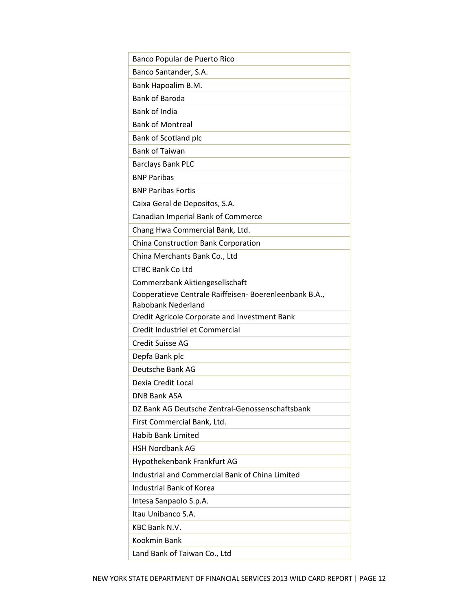| Banco Popular de Puerto Rico                                                 |
|------------------------------------------------------------------------------|
| Banco Santander, S.A.                                                        |
| Bank Hapoalim B.M.                                                           |
| <b>Bank of Baroda</b>                                                        |
| <b>Bank of India</b>                                                         |
| <b>Bank of Montreal</b>                                                      |
| Bank of Scotland plc                                                         |
| <b>Bank of Taiwan</b>                                                        |
| <b>Barclays Bank PLC</b>                                                     |
| <b>BNP Paribas</b>                                                           |
| <b>BNP Paribas Fortis</b>                                                    |
| Caixa Geral de Depositos, S.A.                                               |
| Canadian Imperial Bank of Commerce                                           |
| Chang Hwa Commercial Bank, Ltd.                                              |
| China Construction Bank Corporation                                          |
| China Merchants Bank Co., Ltd                                                |
| <b>CTBC Bank Co Ltd</b>                                                      |
| Commerzbank Aktiengesellschaft                                               |
| Cooperatieve Centrale Raiffeisen- Boerenleenbank B.A.,<br>Rabobank Nederland |
| Credit Agricole Corporate and Investment Bank                                |
| Credit Industriel et Commercial                                              |
| <b>Credit Suisse AG</b>                                                      |
| Depfa Bank plc                                                               |
| Deutsche Bank AG                                                             |
| Dexia Credit Local                                                           |
| <b>DNB Bank ASA</b>                                                          |
| DZ Bank AG Deutsche Zentral-Genossenschaftsbank                              |
| First Commercial Bank, Ltd.                                                  |
| <b>Habib Bank Limited</b>                                                    |
| <b>HSH Nordbank AG</b>                                                       |
| Hypothekenbank Frankfurt AG                                                  |
| Industrial and Commercial Bank of China Limited                              |
| <b>Industrial Bank of Korea</b>                                              |
| Intesa Sanpaolo S.p.A.                                                       |
| Itau Unibanco S.A.                                                           |
| <b>KBC Bank N.V.</b>                                                         |
| Kookmin Bank                                                                 |
| Land Bank of Taiwan Co., Ltd                                                 |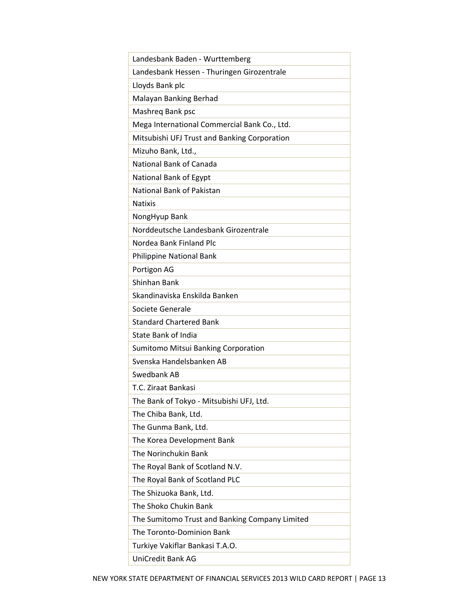| Landesbank Baden - Wurttemberg                 |
|------------------------------------------------|
| Landesbank Hessen - Thuringen Girozentrale     |
| Lloyds Bank plc                                |
| Malayan Banking Berhad                         |
| Mashreg Bank psc                               |
| Mega International Commercial Bank Co., Ltd.   |
| Mitsubishi UFJ Trust and Banking Corporation   |
| Mizuho Bank, Ltd.,                             |
| National Bank of Canada                        |
| National Bank of Egypt                         |
| National Bank of Pakistan                      |
| <b>Natixis</b>                                 |
| NongHyup Bank                                  |
| Norddeutsche Landesbank Girozentrale           |
| Nordea Bank Finland Plc                        |
| <b>Philippine National Bank</b>                |
| Portigon AG                                    |
| Shinhan Bank                                   |
| Skandinaviska Enskilda Banken                  |
| Societe Generale                               |
| <b>Standard Chartered Bank</b>                 |
| State Bank of India                            |
| Sumitomo Mitsui Banking Corporation            |
| Svenska Handelsbanken AB                       |
| Swedbank AB                                    |
| T.C. Ziraat Bankasi                            |
| The Bank of Tokyo - Mitsubishi UFJ, Ltd.       |
| The Chiba Bank, Ltd.                           |
| The Gunma Bank, Ltd.                           |
| The Korea Development Bank                     |
| The Norinchukin Bank                           |
| The Royal Bank of Scotland N.V.                |
| The Royal Bank of Scotland PLC                 |
| The Shizuoka Bank, Ltd.                        |
| The Shoko Chukin Bank                          |
| The Sumitomo Trust and Banking Company Limited |
| The Toronto-Dominion Bank                      |
| Turkiye Vakiflar Bankasi T.A.O.                |
| <b>UniCredit Bank AG</b>                       |